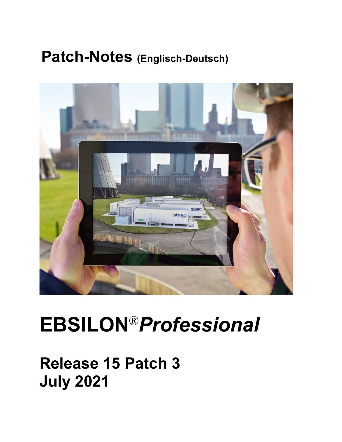## **Patch-Notes (Englisch-Deutsch)**



# **EBSILON**®*Professional*

## **Release 15 Patch 3 July 2021**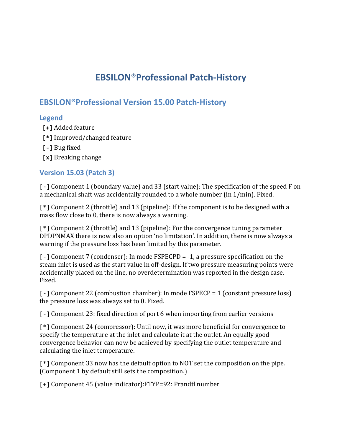### **EBSILON®Professional Patch-History**

#### **EBSILON®Professional Version 15.00 Patch-History**

#### **Legend**

- **[+]** Added feature
- **[\*]** Improved/changed feature
- **[-]** Bug fixed
- **[x]** Breaking change

#### **Version 15.03 (Patch 3)**

[-] Component 1 (boundary value) and 33 (start value): The specification of the speed F on a mechanical shaft was accidentally rounded to a whole number (in 1/min). Fixed.

[\*] Component 2 (throttle) and 13 (pipeline): If the component is to be designed with a mass flow close to 0, there is now always a warning.

[\*] Component 2 (throttle) and 13 (pipeline): For the convergence tuning parameter DPDPNMAX there is now also an option 'no limitation'. In addition, there is now always a warning if the pressure loss has been limited by this parameter.

[-] Component 7 (condenser): In mode FSPECPD = -1, a pressure specification on the steam inlet is used as the start value in off-design. If two pressure measuring points were accidentally placed on the line, no overdetermination was reported in the design case. Fixed.

[-] Component 22 (combustion chamber): In mode FSPECP = 1 (constant pressure loss) the pressure loss was always set to 0. Fixed.

[-] Component 23: fixed direction of port 6 when importing from earlier versions

[\*] Component 24 (compressor): Until now, it was more beneficial for convergence to specify the temperature at the inlet and calculate it at the outlet. An equally good convergence behavior can now be achieved by specifying the outlet temperature and calculating the inlet temperature.

[\*] Component 33 now has the default option to NOT set the composition on the pipe. (Component 1 by default still sets the composition.)

[+] Component 45 (value indicator):FTYP=92: Prandtl number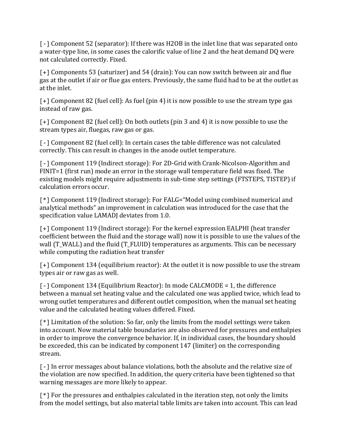[-] Component 52 (separator): If there was H2OB in the inlet line that was separated onto a water-type line, in some cases the calorific value of line 2 and the heat demand DQ were not calculated correctly. Fixed.

[+] Components 53 (saturizer) and 54 (drain): You can now switch between air and flue gas at the outlet if air or flue gas enters. Previously, the same fluid had to be at the outlet as at the inlet.

[+] Component 82 (fuel cell): As fuel (pin 4) it is now possible to use the stream type gas instead of raw gas.

[+] Component 82 (fuel cell): On both outlets (pin 3 and 4) it is now possible to use the stream types air, fluegas, raw gas or gas.

[-] Component 82 (fuel cell): In certain cases the table difference was not calculated correctly. This can result in changes in the anode outlet temperature.

[-] Component 119 (Indirect storage): For 2D-Grid with Crank-Nicolson-Algorithm and FINIT=1 (first run) mode an error in the storage wall temperature field was fixed. The existing models might require adjustments in sub-time step settings (FTSTEPS, TISTEP) if calculation errors occur.

[\*] Component 119 (Indirect storage): For FALG="Model using combined numerical and analytical methods" an improvement in calculation was introduced for the case that the specification value LAMADJ deviates from 1.0.

[+] Component 119 (Indirect storage): For the kernel expression EALPHI (heat transfer coefficient between the fluid and the storage wall) now it is possible to use the values of the wall (T\_WALL) and the fluid (T\_FLUID) temperatures as arguments. This can be necessary while computing the radiation heat transfer

[+] Component 134 (equilibrium reactor): At the outlet it is now possible to use the stream types air or raw gas as well.

[-] Component 134 (Equilibrium Reactor): In mode CALCMODE = 1, the difference between a manual set heating value and the calculated one was applied twice, which lead to wrong outlet temperatures and different outlet composition, when the manual set heating value and the calculated heating values differed. Fixed.

[\*] Limitation of the solution: So far, only the limits from the model settings were taken into account. Now material table boundaries are also observed for pressures and enthalpies in order to improve the convergence behavior. If, in individual cases, the boundary should be exceeded, this can be indicated by component 147 (limiter) on the corresponding stream.

[-] In error messages about balance violations, both the absolute and the relative size of the violation are now specified. In addition, the query criteria have been tightened so that warning messages are more likely to appear.

[\*] For the pressures and enthalpies calculated in the iteration step, not only the limits from the model settings, but also material table limits are taken into account. This can lead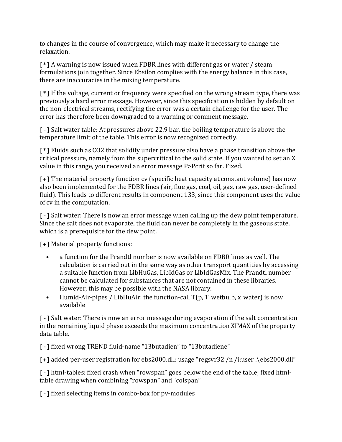to changes in the course of convergence, which may make it necessary to change the relaxation.

[\*] A warning is now issued when FDBR lines with different gas or water / steam formulations join together. Since Ebsilon complies with the energy balance in this case, there are inaccuracies in the mixing temperature.

[\*] If the voltage, current or frequency were specified on the wrong stream type, there was previously a hard error message. However, since this specification is hidden by default on the non-electrical streams, rectifying the error was a certain challenge for the user. The error has therefore been downgraded to a warning or comment message.

[-] Salt water table: At pressures above 22.9 bar, the boiling temperature is above the temperature limit of the table. This error is now recognized correctly.

[\*] Fluids such as CO2 that solidify under pressure also have a phase transition above the critical pressure, namely from the supercritical to the solid state. If you wanted to set an X value in this range, you received an error message P>Pcrit so far. Fixed.

[+] The material property function cv (specific heat capacity at constant volume) has now also been implemented for the FDBR lines (air, flue gas, coal, oil, gas, raw gas, user-defined fluid). This leads to different results in component 133, since this component uses the value of cv in the computation.

[-] Salt water: There is now an error message when calling up the dew point temperature. Since the salt does not evaporate, the fluid can never be completely in the gaseous state, which is a prerequisite for the dew point.

[+] Material property functions:

- a function for the Prandtl number is now available on FDBR lines as well. The calculation is carried out in the same way as other transport quantities by accessing a suitable function from LibHuGas, LibIdGas or LibIdGasMix. The Prandtl number cannot be calculated for substances that are not contained in these libraries. However, this may be possible with the NASA library.
- Humid-Air-pipes / LibHuAir: the function-call T(p, T\_wetbulb, x\_water) is now available

[-] Salt water: There is now an error message during evaporation if the salt concentration in the remaining liquid phase exceeds the maximum concentration XIMAX of the property data table.

[-] fixed wrong TREND fluid-name "13butadien" to "13butadiene"

[+] added per-user registration for ebs2000.dll: usage "regsvr32 /n /i:user .\ebs2000.dll"

[-] html-tables: fixed crash when "rowspan" goes below the end of the table; fixed htmltable drawing when combining "rowspan" and "colspan"

[-] fixed selecting items in combo-box for pv-modules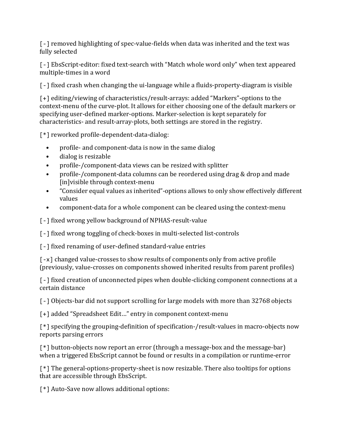[-] removed highlighting of spec-value-fields when data was inherited and the text was fully selected

[-] EbsScript-editor: fixed text-search with "Match whole word only" when text appeared multiple-times in a word

[-] fixed crash when changing the ui-language while a fluids-property-diagram is visible

[+] editing/viewing of characteristics/result-arrays: added "Markers"-options to the context-menu of the curve-plot. It allows for either choosing one of the default markers or specifying user-defined marker-options. Marker-selection is kept separately for characteristics- and result-array-plots, both settings are stored in the registry.

[\*] reworked profile-dependent-data-dialog:

- profile- and component-data is now in the same dialog
- dialog is resizable
- profile-/component-data views can be resized with splitter
- profile-/component-data columns can be reordered using drag & drop and made [in]visible through context-menu
- "Consider equal values as inherited"-options allows to only show effectively different values
- component-data for a whole component can be cleared using the context-menu

[ - ] fixed wrong yellow background of NPHAS-result-value

[-] fixed wrong toggling of check-boxes in multi-selected list-controls

[-] fixed renaming of user-defined standard-value entries

[-x] changed value-crosses to show results of components only from active profile (previously, value-crosses on components showed inherited results from parent profiles)

[-] fixed creation of unconnected pipes when double-clicking component connections at a certain distance

[-] Objects-bar did not support scrolling for large models with more than 32768 objects

[+] added "Spreadsheet Edit..." entry in component context-menu

[\*] specifying the grouping-definition of specification-/result-values in macro-objects now reports parsing errors

[\*] button-objects now report an error (through a message-box and the message-bar) when a triggered EbsScript cannot be found or results in a compilation or runtime-error

[\*] The general-options-property-sheet is now resizable. There also tooltips for options that are accessible through EbsScript.

[\*] Auto-Save now allows additional options: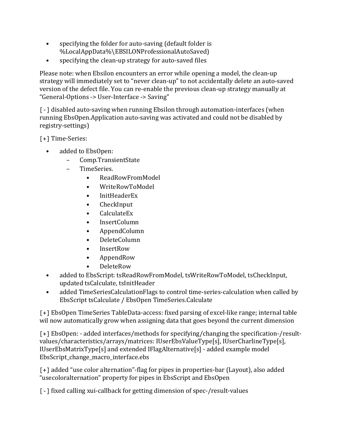- specifying the folder for auto-saving (default folder is %LocalAppData%\EBSILONProfessionalAutoSaved)
- specifying the clean-up strategy for auto-saved files

Please note: when Ebsilon encounters an error while opening a model, the clean-up strategy will immediately set to "never clean-up" to not accidentally delete an auto-saved version of the defect file. You can re-enable the previous clean-up strategy manually at "General-Options -> User-Interface -> Saving"

[-] disabled auto-saving when running Ebsilon through automation-interfaces (when running EbsOpen.Application auto-saving was activated and could not be disabled by registry-settings)

[+] Time-Series:

- added to EbsOpen:
	- Comp.TransientState
	- TimeSeries.
		- ReadRowFromModel
		- WriteRowToModel
		- InitHeaderEx
		- CheckInput
		- CalculateEx
		- InsertColumn
		- AppendColumn
		- DeleteColumn
		- InsertRow
		- AppendRow
		- DeleteRow
- added to EbsScript: tsReadRowFromModel, tsWriteRowToModel, tsCheckInput, updated tsCalculate, tsInitHeader
- added TimeSeriesCalculationFlags to control time-series-calculation when called by EbsScript tsCalculate / EbsOpen TimeSeries.Calculate

[+] EbsOpen TimeSeries TableData-access: fixed parsing of excel-like range; internal table wil now automatically grow when assigning data that goes beyond the current dimension

[+] EbsOpen: - added interfaces/methods for specifying/changing the specification-/resultvalues/characteristics/arrays/matrices: IUserEbsValueType[s], IUserCharlineType[s], IUserEbsMatrixType[s] and extended IFlagAlternative[s] - added example model EbsScript\_change\_macro\_interface.ebs

[+] added "use color alternation"-flag for pipes in properties-bar (Layout), also added "usecoloralternation" property for pipes in EbsScript and EbsOpen

[-] fixed calling xui-callback for getting dimension of spec-/result-values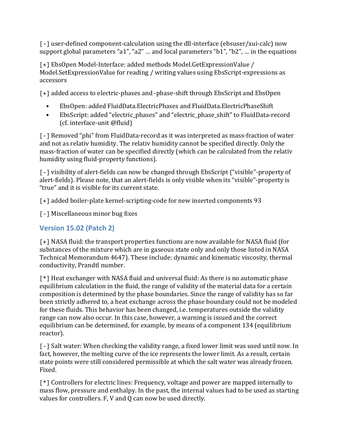[-] user-defined component-calculation using the dll-interface (ebsuser/xui-calc) now support global parameters "a1", "a2" … and local parameters "b1", "b2", … in the equations

[+] EbsOpen Model-Interface: added methods Model.GetExpressionValue / Model.SetExpressionValue for reading / writing values using EbsScript-expressions as accessors

[+] added access to electric-phases and -phase-shift through EbsScript and EbsOpen

- EbsOpen: added FluidData.ElectricPhases and FluidData.ElectricPhaseShift
- EbsScript: added "electric\_phases" and "electric\_phase\_shift" to FluidData-record (cf. interface-unit @fluid)

[-] Removed "phi" from FluidData-record as it was interpreted as mass-fraction of water and not as relativ humidity. The relativ humidity cannot be specified directly. Only the mass-fraction of water can be specified directly (which can be calculated from the relativ humidity using fluid-property functions).

[-] visibility of alert-fields can now be changed through EbsScript ("visible"-property of alert-fields). Please note, that an alert-fields is only visible when its "visible"-property is "true" and it is visible for its current state.

[+] added boiler-plate kernel-scripting-code for new inserted components 93

[-] Miscellaneous minor bug fixes

#### **Version 15.02 (Patch 2)**

[+] NASA fluid: the transport properties functions are now available for NASA fluid (for substances of the mixture which are in gaseous state only and only those listed in NASA Technical Memorandum 4647). These include: dynamic and kinematic viscosity, thermal conductivity, Prandtl number.

[\*] Heat exchanger with NASA fluid and universal fluid: As there is no automatic phase equilibrium calculation in the fluid, the range of validity of the material data for a certain composition is determined by the phase boundaries. Since the range of validity has so far been strictly adhered to, a heat exchange across the phase boundary could not be modeled for these fluids. This behavior has been changed, i.e. temperatures outside the validity range can now also occur. In this case, however, a warning is issued and the correct equilibrium can be determined, for example, by means of a component 134 (equilibrium reactor).

[-] Salt water: When checking the validity range, a fixed lower limit was used until now. In fact, however, the melting curve of the ice represents the lower limit. As a result, certain state points were still considered permissible at which the salt water was already frozen. Fixed.

[\*] Controllers for electric lines: Frequency, voltage and power are mapped internally to mass flow, pressure and enthalpy. In the past, the internal values had to be used as starting values for controllers. F, V and Q can now be used directly.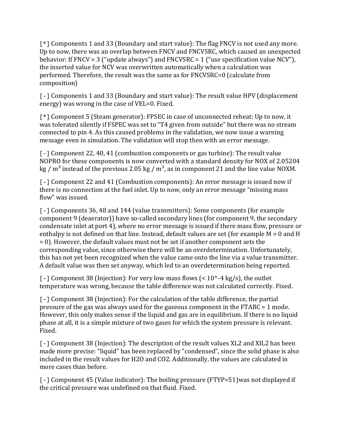[\*] Components 1 and 33 (Boundary and start value): The flag FNCV is not used any more. Up to now, there was an overlap between FNCV and FNCVSRC, which caused an unexpected behavior: If FNCV = 3 ("update always") and FNCVSRC = 1 ("use specification value NCV"), the inserted value for NCV was overwritten automatically when a calculation was performed. Therefore, the result was the same as for FNCVSRC=0 (calculate from composition)

[-] Components 1 and 33 (Boundary and start value): The result value HPV (displacement energy) was wrong in the case of VEL=0. Fixed.

[\*] Component 5 (Steam generator): FPSEC in case of unconnected reheat: Up to now, it was tolerated silently if FSPEC was set to "T4 given from outside" but there was no stream connected to pin 4. As this caused problems in the validation, we now issue a warning message even in simulation. The validation will stop then with an error message.

[-] Component 22, 40, 41 (combustion components or gas turbine): The result value NOPRO for these components is now converted with a standard density for NOX of 2.05204 kg /  $m<sup>3</sup>$  instead of the previous 2.05 kg /  $m<sup>3</sup>$ , as in component 21 and the line value NOXM.

[-] Component 22 and 41 (Combustion components): An error message is issued now if there is no connection at the fuel inlet. Up to now, only an error message "missing mass flow" was issued.

[-] Components 36, 48 and 144 (value transmitters): Some components (for example component 9 (deaerator)) have so-called secondary lines (for component 9, the secondary condensate inlet at port 4), where no error message is issued if there mass flow, pressure or enthalpy is not defined on that line. Instead, default values are set (for example M = 0 and H = 0). However, the default values must not be set if another component sets the corresponding value, since otherwise there will be an overdetermination. Unfortunately, this has not yet been recognized when the value came onto the line via a value transmitter. A default value was then set anyway, which led to an overdetermination being reported.

 $\lceil - \rceil$  Component 38 (Injection): For very low mass flows (< 10^-4 kg/s), the outlet temperature was wrong, because the table difference was not calculated correctly. Fixed.

[-] Component 38 (Injection): For the calculation of the table difference, the partial pressure of the gas was always used for the gaseous component in the FTABC = 1 mode. However, this only makes sense if the liquid and gas are in equilibrium. If there is no liquid phase at all, it is a simple mixture of two gases for which the system pressure is relevant. Fixed.

[-] Component 38 (Injection): The description of the result values XL2 and XIL2 has been made more precise: "liquid" has been replaced by "condensed", since the solid phase is also included in the result values for H2O and CO2. Additionally, the values are calculated in more cases than before.

[-] Component 45 (Value indicator): The boiling pressure (FTYP=51)was not displayed if the critical pressure was undefined on that fluid. Fixed.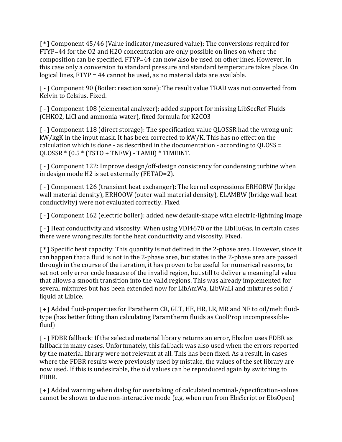[\*] Component 45/46 (Value indicator/measured value): The conversions required for FTYP=44 for the O2 and H2O concentration are only possible on lines on where the composition can be specified. FTYP=44 can now also be used on other lines. However, in this case only a conversion to standard pressure and standard temperature takes place. On logical lines, FTYP = 44 cannot be used, as no material data are available.

[-] Component 90 (Boiler: reaction zone): The result value TRAD was not converted from Kelvin to Celsius. Fixed.

[-] Component 108 (elemental analyzer): added support for missing LibSecRef-Fluids (CHKO2, LiCl and ammonia-water), fixed formula for K2CO3

[-] Component 118 (direct storage): The specification value QLOSSR had the wrong unit kW/kgK in the input mask. It has been corrected to kW/K. This has no effect on the calculation which is done - as described in the documentation - according to QLOSS =  $QLOSSR * (0.5 * (TSTO + TNEW) - TAMB) * TIMEINT.$ 

[-] Component 122: Improve design/off-design consistency for condensing turbine when in design mode H2 is set externally (FETAD=2).

[-] Component 126 (transient heat exchanger): The kernel expressions ERHOBW (bridge wall material density), ERHOOW (outer wall material density), ELAMBW (bridge wall heat conductivity) were not evaluated correctly. Fixed

[-] Component 162 (electric boiler): added new default-shape with electric-lightning image

[-] Heat conductivity and viscosity: When using VDI4670 or the LibHuGas, in certain cases there were wrong results for the heat conductivity and viscosity. Fixed.

[\*] Specific heat capacity: This quantity is not defined in the 2-phase area. However, since it can happen that a fluid is not in the 2-phase area, but states in the 2-phase area are passed through in the course of the iteration, it has proven to be useful for numerical reasons, to set not only error code because of the invalid region, but still to deliver a meaningful value that allows a smooth transition into the valid regions. This was already implemented for several mixtures but has been extended now for LibAmWa, LibWaLi and mixtures solid / liquid at LibIce.

[+] Added fluid-properties for Paratherm CR, GLT, HE, HR, LR, MR and NF to oil/melt fluidtype (has better fitting than calculating Paramtherm fluids as CoolProp incompressiblefluid)

[-] FDBR fallback: If the selected material library returns an error, Ebsilon uses FDBR as fallback in many cases. Unfortunately, this fallback was also used when the errors reported by the material library were not relevant at all. This has been fixed. As a result, in cases where the FDBR results were previously used by mistake, the values of the set library are now used. If this is undesirable, the old values can be reproduced again by switching to FDBR.

[+] Added warning when dialog for overtaking of calculated nominal-/specification-values cannot be shown to due non-interactive mode (e.g. when run from EbsScript or EbsOpen)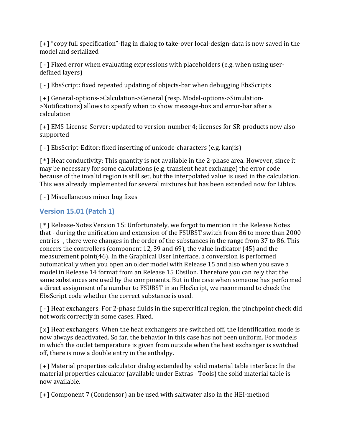[+] "copy full specification"-flag in dialog to take-over local-design-data is now saved in the model and serialized

[-] Fixed error when evaluating expressions with placeholders (e.g. when using userdefined layers)

[-] EbsScript: fixed repeated updating of objects-bar when debugging EbsScripts

[+] General-options->Calculation->General (resp. Model-options->Simulation- >Notifications) allows to specify when to show message-box and error-bar after a calculation

[+] EMS-License-Server: updated to version-number 4; licenses for SR-products now also supported

[-] EbsScript-Editor: fixed inserting of unicode-characters (e.g. kanjis)

[\*] Heat conductivity: This quantity is not available in the 2-phase area. However, since it may be necessary for some calculations (e.g. transient heat exchange) the error code because of the invalid region is still set, but the interpolated value is used in the calculation. This was already implemented for several mixtures but has been extended now for LibIce.

[-] Miscellaneous minor bug fixes

#### **Version 15.01 (Patch 1)**

[\*] Release-Notes Version 15: Unfortunately, we forgot to mention in the Release Notes that - during the unification and extension of the FSUBST switch from 86 to more than 2000 entries -, there were changes in the order of the substances in the range from 37 to 86. This concers the controllers (component 12, 39 and 69), the value indicator (45) and the measurement point(46). In the Graphical User Interface, a conversion is performed automatically when you open an older model with Release 15 and also when you save a model in Release 14 format from an Release 15 Ebsilon. Therefore you can rely that the same substances are used by the components. But in the case when someone has performed a direct assignment of a number to FSUBST in an EbsScript, we recommend to check the EbsScript code whether the correct substance is used.

[-] Heat exchangers: For 2-phase fluids in the supercritical region, the pinchpoint check did not work correctly in some cases. Fixed.

[x] Heat exchangers: When the heat exchangers are switched off, the identification mode is now always deactivated. So far, the behavior in this case has not been uniform. For models in which the outlet temperature is given from outside when the heat exchanger is switched off, there is now a double entry in the enthalpy.

[+] Material properties calculator dialog extended by solid material table interface: In the material properties calculator (available under Extras - Tools) the solid material table is now available.

[+] Component 7 (Condensor) an be used with saltwater also in the HEI-method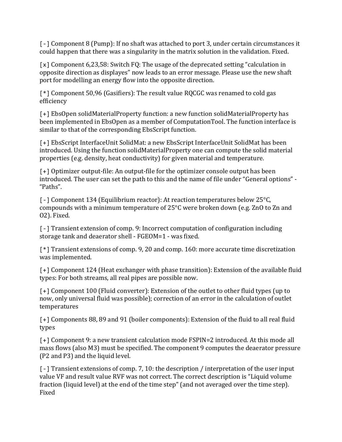[-] Component 8 (Pump): If no shaft was attached to port 3, under certain circumstances it could happen that there was a singularity in the matrix solution in the validation. Fixed.

[x] Component 6,23,58: Switch FQ: The usage of the deprecated setting "calculation in opposite direction as displayes" now leads to an error message. Please use the new shaft port for modelling an energy flow into the opposite direction.

[\*] Component 50,96 (Gasifiers): The result value RQCGC was renamed to cold gas efficiency

[+] EbsOpen solidMaterialProperty function: a new function solidMaterialProperty has been implemented in EbsOpen as a member of ComputationTool. The function interface is similar to that of the corresponding EbsScript function.

[+] EbsScript InterfaceUnit SolidMat: a new EbsScript InterfaceUnit SolidMat has been introduced. Using the function solidMaterialProperty one can compute the solid material properties (e.g. density, heat conductivity) for given material and temperature.

[+] Optimizer output-file: An output-file for the optimizer console output has been introduced. The user can set the path to this and the name of file under "General options" - "Paths".

[-] Component 134 (Equilibrium reactor): At reaction temperatures below 25°C, compounds with a minimum temperature of 25°C were broken down (e.g. ZnO to Zn and O2). Fixed.

[-] Transient extension of comp. 9: Incorrect computation of configuration including storage tank and deaerator shell - FGEOM=1 - was fixed.

[\*] Transient extensions of comp. 9, 20 and comp. 160: more accurate time discretization was implemented.

[+] Component 124 (Heat exchanger with phase transition): Extension of the available fluid types: For both streams, all real pipes are possible now.

[+] Component 100 (Fluid converter): Extension of the outlet to other fluid types (up to now, only universal fluid was possible); correction of an error in the calculation of outlet temperatures

[+] Components 88, 89 and 91 (boiler components): Extension of the fluid to all real fluid types

[+] Component 9: a new transient calculation mode FSPIN=2 introduced. At this mode all mass flows (also M3) must be specified. The component 9 computes the deaerator pressure (P2 and P3) and the liquid level.

 $\lceil -1 \rceil$  Transient extensions of comp. 7, 10: the description / interpretation of the user input value VF and result value RVF was not correct. The correct description is "Liquid volume fraction (liquid level) at the end of the time step" (and not averaged over the time step). Fixed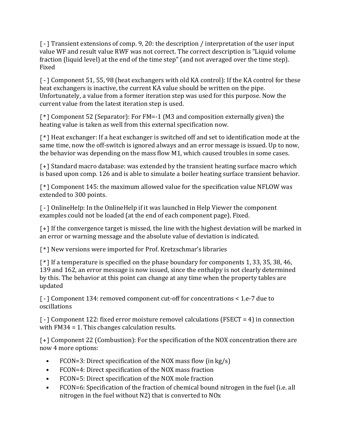[-] Transient extensions of comp. 9, 20: the description / interpretation of the user input value WF and result value RWF was not correct. The correct description is "Liquid volume fraction (liquid level) at the end of the time step" (and not averaged over the time step). Fixed

[-] Component 51, 55, 98 (heat exchangers with old KA control): If the KA control for these heat exchangers is inactive, the current KA value should be written on the pipe. Unfortunately, a value from a former iteration step was used for this purpose. Now the current value from the latest iteration step is used.

[\*] Component 52 (Separator): For FM=-1 (M3 and composition externally given) the heating value is taken as well from this external specification now.

[\*] Heat exchanger: If a heat exchanger is switched off and set to identification mode at the same time, now the off-switch is ignored always and an error message is issued. Up to now, the behavior was depending on the mass flow M1, which caused troubles in some cases.

[+] Standard macro database: was extended by the transient heating surface macro which is based upon comp. 126 and is able to simulate a boiler heating surface transient behavior.

[\*] Component 145: the maximum allowed value for the specification value NFLOW was extended to 300 points.

[-] OnlineHelp: In the OnlineHelp if it was launched in Help Viewer the component examples could not be loaded (at the end of each component page). Fixed.

[+] If the convergence target is missed, the line with the highest deviation will be marked in an error or warning message and the absolute value of deviation is indicated.

[\*] New versions were imported for Prof. Kretzschmar's libraries

[\*] If a temperature is specified on the phase boundary for components 1, 33, 35, 38, 46, 139 and 162, an error message is now issued, since the enthalpy is not clearly determined by this. The behavior at this point can change at any time when the property tables are updated

[-] Component 134: removed component cut-off for concentrations < 1.e-7 due to oscillations

[-] Component 122: fixed error moisture removel calculations (FSECT = 4) in connection with FM34 = 1. This changes calculation results.

[+] Component 22 (Combustion): For the specification of the NOX concentration there are now 4 more options:

- FCON=3: Direct specification of the NOX mass flow (in kg/s)
- FCON=4: Direct specification of the NOX mass fraction
- FCON=5: Direct specification of the NOX mole fraction
- FCON=6: Specification of the fraction of chemical bound nitrogen in the fuel (i.e. all nitrogen in the fuel without N2) that is converted to NOx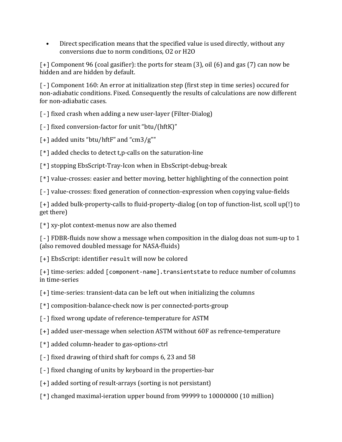• Direct specification means that the specified value is used directly, without any conversions due to norm conditions, O2 or H2O

[+] Component 96 (coal gasifier): the ports for steam (3), oil (6) and gas (7) can now be hidden and are hidden by default.

[-] Component 160: An error at initialization step (first step in time series) occured for non-adiabatic conditions. Fixed. Consequently the results of calculations are now different for non-adiabatic cases.

[-] fixed crash when adding a new user-layer (Filter-Dialog)

[ - ] fixed conversion-factor for unit "btu/(hftK)"

[+] added units "btu/hftF" and "cm3/g""

[\*] added checks to detect t,p-calls on the saturation-line

[\*] stopping EbsScript-Tray-Icon when in EbsScript-debug-break

[\*] value-crosses: easier and better moving, better highlighting of the connection point

[-] value-crosses: fixed generation of connection-expression when copying value-fields

[+] added bulk-property-calls to fluid-property-dialog (on top of function-list, scoll up(!) to get there)

[\*] xy-plot context-menus now are also themed

[-] FDBR-fluids now show a message when composition in the dialog doas not sum-up to 1 (also removed doubled message for NASA-fluids)

[+] EbsScript: identifier result will now be colored

[+] time-series: added [component-name].transientstate to reduce number of columns in time-series

[+] time-series: transient-data can be left out when initializing the columns

[\*] composition-balance-check now is per connected-ports-group

[-] fixed wrong update of reference-temperature for ASTM

[+] added user-message when selection ASTM without 60F as refrence-temperature

- [\*] added column-header to gas-options-ctrl
- [-] fixed drawing of third shaft for comps 6, 23 and 58
- [-] fixed changing of units by keyboard in the properties-bar
- [+] added sorting of result-arrays (sorting is not persistant)
- [\*] changed maximal-ieration upper bound from 99999 to 10000000 (10 million)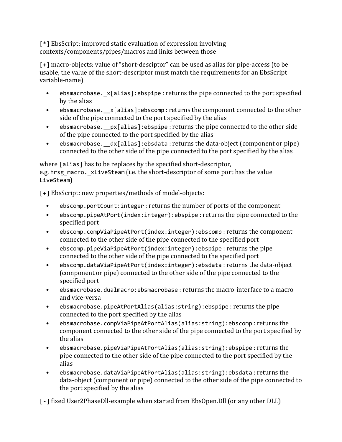[\*] EbsScript: improved static evaluation of expression involving contexts/components/pipes/macros and links between those

[+] macro-objects: value of "short-desciptor" can be used as alias for pipe-access (to be usable, the value of the short-descriptor must match the requirements for an EbsScript variable-name)

- ebsmacrobase.\_x[alias]:ebspipe : returns the pipe connected to the port specified by the alias
- ebsmacrobase.  $x[alias]$ : ebscomp : returns the component connected to the other side of the pipe connected to the port specified by the alias
- ebsmacrobase.  $px[$  alias]: ebspipe : returns the pipe connected to the other side of the pipe connected to the port specified by the alias
- ebsmacrobase. dx[alias]:ebsdata: returns the data-object (component or pipe) connected to the other side of the pipe connected to the port specified by the alias

where [alias] has to be replaces by the specified short-descriptor, e.g. hrsg macro. xLiveSteam (i.e. the short-descriptor of some port has the value LiveSteam)

[+] EbsScript: new properties/methods of model-objects:

- ebscomp.portCount:integer : returns the number of ports of the component
- ebscomp.pipeAtPort(index:integer):ebspipe : returns the pipe connected to the specified port
- ebscomp.compViaPipeAtPort(index:integer):ebscomp : returns the component connected to the other side of the pipe connected to the specified port
- ebscomp.pipeViaPipeAtPort(index:integer):ebspipe : returns the pipe connected to the other side of the pipe connected to the specified port
- ebscomp.dataViaPipeAtPort(index:integer):ebsdata : returns the data-object (component or pipe) connected to the other side of the pipe connected to the specified port
- ebsmacrobase.dualmacro:ebsmacrobase : returns the macro-interface to a macro and vice-versa
- ebsmacrobase.pipeAtPortAlias(alias:string):ebspipe : returns the pipe connected to the port specified by the alias
- ebsmacrobase.compViaPipeAtPortAlias(alias:string):ebscomp : returns the component connected to the other side of the pipe connected to the port specified by the alias
- ebsmacrobase.pipeViaPipeAtPortAlias(alias:string):ebspipe : returns the pipe connected to the other side of the pipe connected to the port specified by the alias
- ebsmacrobase.dataViaPipeAtPortAlias(alias:string):ebsdata : returns the data-object (component or pipe) connected to the other side of the pipe connected to the port specified by the alias

[-] fixed User2PhaseDll-example when started from EbsOpen.Dll (or any other DLL)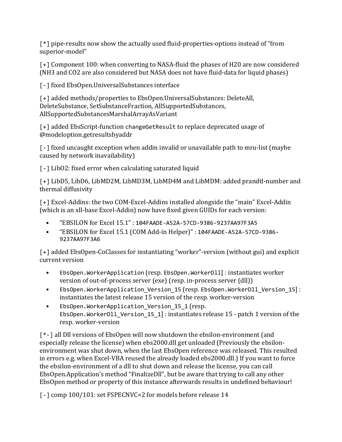[\*] pipe-results now show the actually used fluid-properties-options instead of "from superior-model"

[+] Component 100: when converting to NASA-fluid the phases of H20 are now considered (NH3 and CO2 are also considered but NASA does not have fluid-data for liquid phases)

[-] fixed EbsOpen.UniversalSubstances interface

[+] added methods/properties to EbsOpen.UniversalSubstances: DeleteAll, DeleteSubstance, SetSubstanceFraction, AllSupportedSubstances, AllSupportedSubstancesMarshalArrayAsVariant

[+] added EbsScript-function changeGetResult to replace deprecated usage of @modeloption.getresultsbyaddr

[-] fixed uncaught exception when addin invalid or unavailable path to mru-list (maybe caused by network inavailability)

[-] LibO2: fixed error when calculating saturated liquid

[+] LibD5, LibD6, LibMD2M, LibMD3M, LibMD4M and LibMDM: added prandtl-number and thermal diffusivity

[+] Excel-Addins: the two COM-Excel-Addins installed alongside the "main" Excel-Addin (which is an xll-base Excel-Addin) now have fixed given GUIDs for each version:

- "EBSILON for Excel 15.1" : 104FAADE-A52A-57CD-9386-9237AA97F3A5
- "EBSILON for Excel 15.1 (COM Add-in Helper)" : 104FAADE-A52A-57CD-9386- 9237AA97F3A6

[+] added EbsOpen-CoClasses for instantiating "worker"-version (without gui) and explicit current version

- EbsOpen.WorkerApplication (resp. EbsOpen.WorkerDll] : instantiates worker version of out-of-process server (exe) (resp. in-process server (dll))
- EbsOpen.WorkerApplication Version 15 (resp. EbsOpen.WorkerDll Version 15]: instantiates the latest release 15 version of the resp. worker-version
- EbsOpen.WorkerApplication\_Version\_15\_1 (resp. EbsOpen.WorkerDll\_Version\_15\_1] : instantiates release 15 - patch 1 version of the resp. worker-version

[\*-] all Dll versions of EbsOpen will now shutdown the ebsilon-environment (and especially release the license) when ebs2000.dll get unloaded (Previously the ebsilonenvironment was shut down, when the last EbsOpen reference was released. This resulted in errors e.g. when Excel-VBA reused the already loaded ebs2000.dll.) If you want to force the ebsilon-environment of a dll to shut down and release the license, you can call EbsOpen.Application's method "FinalizeDll", but be aware that trying to call any other EbsOpen method or property of this instance afterwards results in undefined behaviour!

[-] comp 100/101: set FSPECNVC=2 for models before release 14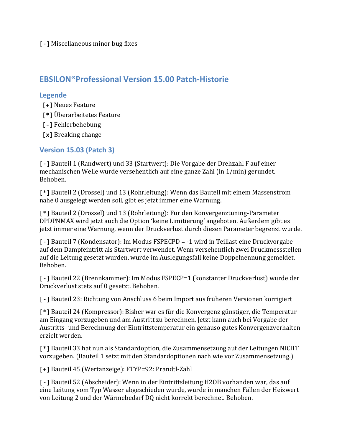[-] Miscellaneous minor bug fixes

#### **EBSILON®Professional Version 15.00 Patch-Historie**

#### **Legende**

- **[+]** Neues Feature
- **[\*]** Überarbeitetes Feature
- **[-]** Fehlerbehebung
- **[x]** Breaking change

#### **Version 15.03 (Patch 3)**

[-] Bauteil 1 (Randwert) und 33 (Startwert): Die Vorgabe der Drehzahl F auf einer mechanischen Welle wurde versehentlich auf eine ganze Zahl (in 1/min) gerundet. Behoben.

[\*] Bauteil 2 (Drossel) und 13 (Rohrleitung): Wenn das Bauteil mit einem Massenstrom nahe 0 ausgelegt werden soll, gibt es jetzt immer eine Warnung.

[\*] Bauteil 2 (Drossel) und 13 (Rohrleitung): Für den Konvergenztuning-Parameter DPDPNMAX wird jetzt auch die Option 'keine Limitierung' angeboten. Außerdem gibt es jetzt immer eine Warnung, wenn der Druckverlust durch diesen Parameter begrenzt wurde.

[-] Bauteil 7 (Kondensator): Im Modus FSPECPD = -1 wird in Teillast eine Druckvorgabe auf dem Dampfeintritt als Startwert verwendet. Wenn versehentlich zwei Druckmessstellen auf die Leitung gesetzt wurden, wurde im Auslegungsfall keine Doppelnennung gemeldet. Behoben.

[-] Bauteil 22 (Brennkammer): Im Modus FSPECP=1 (konstanter Druckverlust) wurde der Druckverlust stets auf 0 gesetzt. Behoben.

[-] Bauteil 23: Richtung von Anschluss 6 beim Import aus früheren Versionen korrigiert

[\*] Bauteil 24 (Kompressor): Bisher war es für die Konvergenz günstiger, die Temperatur am Eingang vorzugeben und am Austritt zu berechnen. Jetzt kann auch bei Vorgabe der Austritts- und Berechnung der Eintrittstemperatur ein genauso gutes Konvergenzverhalten erzielt werden.

[\*] Bauteil 33 hat nun als Standardoption, die Zusammensetzung auf der Leitungen NICHT vorzugeben. (Bauteil 1 setzt mit den Standardoptionen nach wie vor Zusammensetzung.)

[+] Bauteil 45 (Wertanzeige): FTYP=92: Prandtl-Zahl

[-] Bauteil 52 (Abscheider): Wenn in der Eintrittsleitung H2OB vorhanden war, das auf eine Leitung vom Typ Wasser abgeschieden wurde, wurde in manchen Fällen der Heizwert von Leitung 2 und der Wärmebedarf DQ nicht korrekt berechnet. Behoben.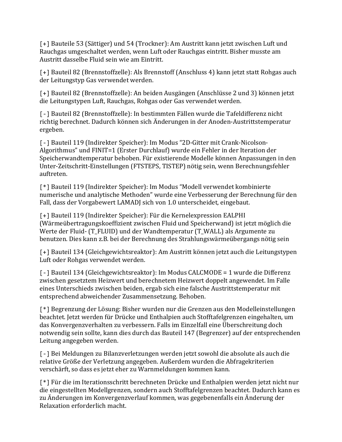[+] Bauteile 53 (Sättiger) und 54 (Trockner): Am Austritt kann jetzt zwischen Luft und Rauchgas umgeschaltet werden, wenn Luft oder Rauchgas eintritt. Bisher musste am Austritt dasselbe Fluid sein wie am Eintritt.

[+] Bauteil 82 (Brennstoffzelle): Als Brennstoff (Anschluss 4) kann jetzt statt Rohgas auch der Leitungstyp Gas verwendet werden.

[+] Bauteil 82 (Brennstoffzelle): An beiden Ausgängen (Anschlüsse 2 und 3) können jetzt die Leitungstypen Luft, Rauchgas, Rohgas oder Gas verwendet werden.

[-] Bauteil 82 (Brennstoffzelle): In bestimmten Fällen wurde die Tafeldifferenz nicht richtig berechnet. Dadurch können sich Änderungen in der Anoden-Austrittstemperatur ergeben.

[-] Bauteil 119 (Indirekter Speicher): Im Modus "2D-Gitter mit Crank-Nicolson-Algorithmus" und FINIT=1 (Erster Durchlauf) wurde ein Fehler in der Iteration der Speicherwandtemperatur behoben. Für existierende Modelle können Anpassungen in den Unter-Zeitschritt-Einstellungen (FTSTEPS, TISTEP) nötig sein, wenn Berechnungsfehler auftreten.

[\*] Bauteil 119 (Indirekter Speicher): Im Modus "Modell verwendet kombinierte numerische und analytische Methoden" wurde eine Verbesserung der Berechnung für den Fall, dass der Vorgabewert LAMADJ sich von 1.0 unterscheidet, eingebaut.

[+] Bauteil 119 (Indirekter Speicher): Für die Kernelexpression EALPHI (Wärmeübertragungskoeffizient zwischen Fluid und Speicherwand) ist jetzt möglich die Werte der Fluid- (T\_FLUID) und der Wandtemperatur (T\_WALL) als Argumente zu benutzen. Dies kann z.B. bei der Berechnung des Strahlungswärmeübergangs nötig sein

[+] Bauteil 134 (Gleichgewichtsreaktor): Am Austritt können jetzt auch die Leitungstypen Luft oder Rohgas verwendet werden.

[-] Bauteil 134 (Gleichgewichtsreaktor): Im Modus CALCMODE = 1 wurde die Differenz zwischen gesetztem Heizwert und berechnetem Heizwert doppelt angewendet. Im Falle eines Unterschieds zwischen beiden, ergab sich eine falsche Austrittstemperatur mit entsprechend abweichender Zusammensetzung. Behoben.

[\*] Begrenzung der Lösung: Bisher wurden nur die Grenzen aus den Modelleinstellungen beachtet. Jetzt werden für Drücke und Enthalpien auch Stofftafelgrenzen eingehalten, um das Konvergenzverhalten zu verbessern. Falls im Einzelfall eine Überschreitung doch notwendig sein sollte, kann dies durch das Bauteil 147 (Begrenzer) auf der entsprechenden Leitung angegeben werden.

[-] Bei Meldungen zu Bilanzverletzungen werden jetzt sowohl die absolute als auch die relative Größe der Verletzung angegeben. Außerdem wurden die Abfragekriterien verschärft, so dass es jetzt eher zu Warnmeldungen kommen kann.

[\*] Für die im Iterationsschritt berechneten Drücke und Enthalpien werden jetzt nicht nur die eingestellten Modellgrenzen, sondern auch Stofftafelgrenzen beachtet. Dadurch kann es zu Änderungen im Konvergenzverlauf kommen, was gegebenenfalls ein Änderung der Relaxation erforderlich macht.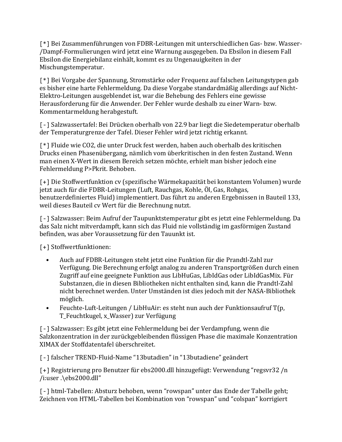[\*] Bei Zusammenführungen von FDBR-Leitungen mit unterschiedlichen Gas- bzw. Wasser- /Dampf-Formulierungen wird jetzt eine Warnung ausgegeben. Da Ebsilon in diesem Fall Ebsilon die Energiebilanz einhält, kommt es zu Ungenauigkeiten in der Mischungstemperatur.

[\*] Bei Vorgabe der Spannung, Stromstärke oder Frequenz auf falschen Leitungstypen gab es bisher eine harte Fehlermeldung. Da diese Vorgabe standardmäßig allerdings auf Nicht-Elektro-Leitungen ausgeblendet ist, war die Behebung des Fehlers eine gewisse Herausforderung für die Anwender. Der Fehler wurde deshalb zu einer Warn- bzw. Kommentarmeldung herabgestuft.

[-] Salzwassertafel: Bei Drücken oberhalb von 22.9 bar liegt die Siedetemperatur oberhalb der Temperaturgrenze der Tafel. Dieser Fehler wird jetzt richtig erkannt.

[\*] Fluide wie CO2, die unter Druck fest werden, haben auch oberhalb des kritischen Drucks einen Phasenübergang, nämlich vom überkritischen in den festen Zustand. Wenn man einen X-Wert in diesem Bereich setzen möchte, erhielt man bisher jedoch eine Fehlermeldung P>Pkrit. Behoben.

[+] Die Stoffwertfunktion cv (spezifische Wärmekapazität bei konstantem Volumen) wurde jetzt auch für die FDBR-Leitungen (Luft, Rauchgas, Kohle, Öl, Gas, Rohgas, benutzerdefiniertes Fluid) implementiert. Das führt zu anderen Ergebnissen in Bauteil 133, weil dieses Bauteil cv Wert für die Berechnung nutzt.

[-] Salzwasser: Beim Aufruf der Taupunktstemperatur gibt es jetzt eine Fehlermeldung. Da das Salz nicht mitverdampft, kann sich das Fluid nie vollständig im gasförmigen Zustand befinden, was aber Voraussetzung für den Tauunkt ist.

[+] Stoffwertfunktionen:

- Auch auf FDBR-Leitungen steht jetzt eine Funktion für die Prandtl-Zahl zur Verfügung. Die Berechnung erfolgt analog zu anderen Transportgrößen durch einen Zugriff auf eine geeignete Funktion aus LibHuGas, LibIdGas oder LibIdGasMix. Für Substanzen, die in diesen Bibliotheken nicht enthalten sind, kann die Prandtl-Zahl nicht berechnet werden. Unter Umständen ist dies jedoch mit der NASA-Bibliothek möglich.
- Feuchte-Luft-Leitungen / LibHuAir: es steht nun auch der Funktionsaufruf T(p, T\_Feuchtkugel, x\_Wasser) zur Verfügung

[-] Salzwasser: Es gibt jetzt eine Fehlermeldung bei der Verdampfung, wenn die Salzkonzentration in der zurückgebleibenden flüssigen Phase die maximale Konzentration XIMAX der Stoffdatentafel überschreitet.

[-] falscher TREND-Fluid-Name "13butadien" in "13butadiene" geändert

[+] Registrierung pro Benutzer für ebs2000.dll hinzugefügt: Verwendung "regsvr32 /n /i:user .\ebs2000.dll"

[-] html-Tabellen: Absturz behoben, wenn "rowspan" unter das Ende der Tabelle geht; Zeichnen von HTML-Tabellen bei Kombination von "rowspan" und "colspan" korrigiert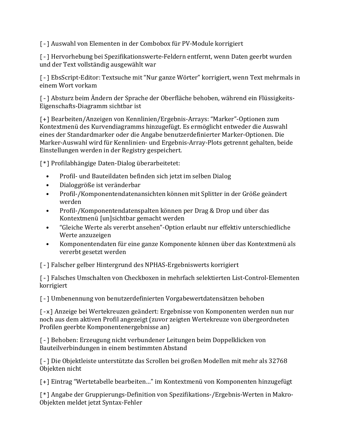[-] Auswahl von Elementen in der Combobox für PV-Module korrigiert

[-] Hervorhebung bei Spezifikationswerte-Feldern entfernt, wenn Daten geerbt wurden und der Text vollständig ausgewählt war

[-] EbsScript-Editor: Textsuche mit "Nur ganze Wörter" korrigiert, wenn Text mehrmals in einem Wort vorkam

[-] Absturz beim Ändern der Sprache der Oberfläche behoben, während ein Flüssigkeits-Eigenschafts-Diagramm sichtbar ist

[+] Bearbeiten/Anzeigen von Kennlinien/Ergebnis-Arrays: "Marker"-Optionen zum Kontextmenü des Kurvendiagramms hinzugefügt. Es ermöglicht entweder die Auswahl eines der Standardmarker oder die Angabe benutzerdefinierter Marker-Optionen. Die Marker-Auswahl wird für Kennlinien- und Ergebnis-Array-Plots getrennt gehalten, beide Einstellungen werden in der Registry gespeichert.

[\*] Profilabhängige Daten-Dialog überarbeitetet:

- Profil- und Bauteildaten befinden sich jetzt im selben Dialog
- Dialoggröße ist veränderbar
- Profil-/Komponentendatenansichten können mit Splitter in der Größe geändert werden
- Profil-/Komponentendatenspalten können per Drag & Drop und über das Kontextmenü [un]sichtbar gemacht werden
- "Gleiche Werte als vererbt ansehen"-Option erlaubt nur effektiv unterschiedliche Werte anzuzeigen
- Komponentendaten für eine ganze Komponente können über das Kontextmenü als vererbt gesetzt werden

[-] Falscher gelber Hintergrund des NPHAS-Ergebniswerts korrigiert

[-] Falsches Umschalten von Checkboxen in mehrfach selektierten List-Control-Elementen korrigiert

[-] Umbenennung von benutzerdefinierten Vorgabewertdatensätzen behoben

[-x] Anzeige bei Wertekreuzen geändert: Ergebnisse von Komponenten werden nun nur noch aus dem aktiven Profil angezeigt (zuvor zeigten Wertekreuze von übergeordneten Profilen geerbte Komponentenergebnisse an)

[-] Behoben: Erzeugung nicht verbundener Leitungen beim Doppelklicken von Bauteilverbindungen in einem bestimmten Abstand

[-] Die Objektleiste unterstützte das Scrollen bei großen Modellen mit mehr als 32768 Objekten nicht

[+] Eintrag "Wertetabelle bearbeiten…" im Kontextmenü von Komponenten hinzugefügt

[\*] Angabe der Gruppierungs-Definition von Spezifikations-/Ergebnis-Werten in Makro-Objekten meldet jetzt Syntax-Fehler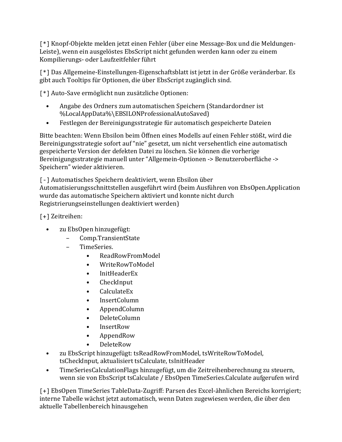[\*] Knopf-Objekte melden jetzt einen Fehler (über eine Message-Box und die Meldungen-Leiste), wenn ein ausgelöstes EbsScript nicht gefunden werden kann oder zu einem Kompilierungs- oder Laufzeitfehler führt

[\*] Das Allgemeine-Einstellungen-Eigenschaftsblatt ist jetzt in der Größe veränderbar. Es gibt auch Tooltips für Optionen, die über EbsScript zugänglich sind.

[\*] Auto-Save ermöglicht nun zusätzliche Optionen:

- Angabe des Ordners zum automatischen Speichern (Standardordner ist %LocalAppData%\EBSILONProfessionalAutoSaved)
- Festlegen der Bereinigungsstrategie für automatisch gespeicherte Dateien

Bitte beachten: Wenn Ebsilon beim Öffnen eines Modells auf einen Fehler stößt, wird die Bereinigungsstrategie sofort auf "nie" gesetzt, um nicht versehentlich eine automatisch gespeicherte Version der defekten Datei zu löschen. Sie können die vorherige Bereinigungsstrategie manuell unter "Allgemein-Optionen -> Benutzeroberfläche -> Speichern" wieder aktivieren.

[-] Automatisches Speichern deaktiviert, wenn Ebsilon über Automatisierungsschnittstellen ausgeführt wird (beim Ausführen von EbsOpen.Application wurde das automatische Speichern aktiviert und konnte nicht durch Registrierungseinstellungen deaktiviert werden)

[+] Zeitreihen:

- zu EbsOpen hinzugefügt:
	- Comp.TransientState
	- TimeSeries.
		- ReadRowFromModel
		- WriteRowToModel
		- InitHeaderEx
		- CheckInput
		- CalculateEx
		- InsertColumn
		- AppendColumn
		- DeleteColumn
		- InsertRow
		- AppendRow
		- DeleteRow
- zu EbsScript hinzugefügt: tsReadRowFromModel, tsWriteRowToModel, tsCheckInput, aktualisiert tsCalculate, tsInitHeader
- TimeSeriesCalculationFlags hinzugefügt, um die Zeitreihenberechnung zu steuern, wenn sie von EbsScript tsCalculate / EbsOpen TimeSeries.Calculate aufgerufen wird

[+] EbsOpen TimeSeries TableData-Zugriff: Parsen des Excel-ähnlichen Bereichs korrigiert; interne Tabelle wächst jetzt automatisch, wenn Daten zugewiesen werden, die über den aktuelle Tabellenbereich hinausgehen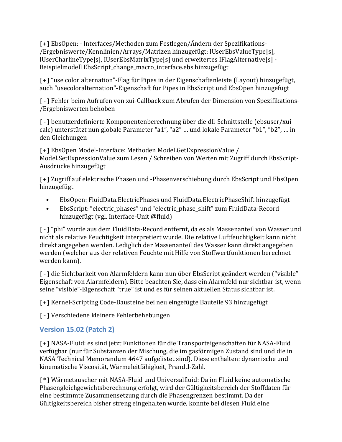[+] EbsOpen: - Interfaces/Methoden zum Festlegen/Ändern der Spezifikations- /Ergebniswerte/Kennlinien/Arrays/Matrizen hinzugefügt: IUserEbsValueType[s], IUserCharlineType[s], IUserEbsMatrixType[s] und erweitertes IFlagAlternative[s] - Beispielmodell EbsScript\_change\_macro\_interface.ebs hinzugefügt

[+] "use color alternation"-Flag für Pipes in der Eigenschaftenleiste (Layout) hinzugefügt, auch "usecoloralternation"-Eigenschaft für Pipes in EbsScript und EbsOpen hinzugefügt

[-] Fehler beim Aufrufen von xui-Callback zum Abrufen der Dimension von Spezifikations- /Ergebniswerten behoben

[-] benutzerdefinierte Komponentenberechnung über die dll-Schnittstelle (ebsuser/xuicalc) unterstützt nun globale Parameter "a1", "a2" … und lokale Parameter "b1", "b2", … in den Gleichungen

[+] EbsOpen Model-Interface: Methoden Model.GetExpressionValue / Model.SetExpressionValue zum Lesen / Schreiben von Werten mit Zugriff durch EbsScript-Ausdrücke hinzugefügt

[+] Zugriff auf elektrische Phasen und -Phasenverschiebung durch EbsScript und EbsOpen hinzugefügt

- EbsOpen: FluidData.ElectricPhases und FluidData.ElectricPhaseShift hinzugefügt
- EbsScript: "electric\_phases" und "electric\_phase\_shift" zum FluidData-Record hinzugefügt (vgl. Interface-Unit @fluid)

[-] "phi" wurde aus dem FluidData-Record entfernt, da es als Massenanteil von Wasser und nicht als relative Feuchtigkeit interpretiert wurde. Die relative Luftfeuchtigkeit kann nicht direkt angegeben werden. Lediglich der Massenanteil des Wasser kann direkt angegeben werden (welcher aus der relativen Feuchte mit Hilfe von Stoffwertfunktionen berechnet werden kann).

[-] die Sichtbarkeit von Alarmfeldern kann nun über EbsScript geändert werden ("visible"- Eigenschaft von Alarmfeldern). Bitte beachten Sie, dass ein Alarmfeld nur sichtbar ist, wenn seine "visible"-Eigenschaft "true" ist und es für seinen aktuellen Status sichtbar ist.

[+] Kernel-Scripting Code-Bausteine bei neu eingefügte Bauteile 93 hinzugefügt

[-] Verschiedene kleinere Fehlerbehebungen

#### **Version 15.02 (Patch 2)**

[+] NASA-Fluid: es sind jetzt Funktionen für die Transporteigenschaften für NASA-Fluid verfügbar (nur für Substanzen der Mischung, die im gasförmigen Zustand sind und die in NASA Technical Memorandum 4647 aufgelistet sind). Diese enthalten: dynamische und kinematische Viscosität, Wärmeleitfähigkeit, Prandtl-Zahl.

[\*] Wärmetauscher mit NASA-Fluid und Universalfluid: Da im Fluid keine automatische Phasengleichgewichtsberechnung erfolgt, wird der Gültigkeitsbereich der Stoffdaten für eine bestimmte Zusammensetzung durch die Phasengrenzen bestimmt. Da der Gültigkeitsbereich bisher streng eingehalten wurde, konnte bei diesen Fluid eine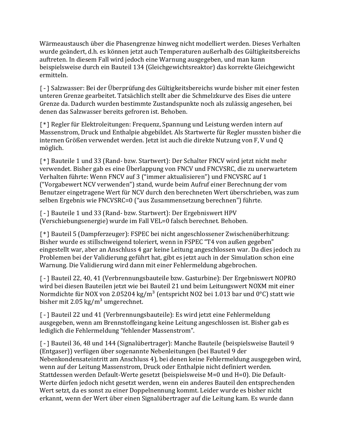Wärmeaustausch über die Phasengrenze hinweg nicht modelliert werden. Dieses Verhalten wurde geändert, d.h. es können jetzt auch Temperaturen außerhalb des Gültigkeitsbereichs auftreten. In diesem Fall wird jedoch eine Warnung ausgegeben, und man kann beispielsweise durch ein Bauteil 134 (Gleichgewichtsreaktor) das korrekte Gleichgewicht ermitteln.

[-] Salzwasser: Bei der Überprüfung des Gültigkeitsbereichs wurde bisher mit einer festen unteren Grenze gearbeitet. Tatsächlich stellt aber die Schmelzkurve des Eises die untere Grenze da. Dadurch wurden bestimmte Zustandspunkte noch als zulässig angesehen, bei denen das Salzwasser bereits gefroren ist. Behoben.

[\*] Regler für Elektroleitungen: Frequenz, Spannung und Leistung werden intern auf Massenstrom, Druck und Enthalpie abgebildet. Als Startwerte für Regler mussten bisher die internen Größen verwendet werden. Jetzt ist auch die direkte Nutzung von F, V und Q möglich.

[\*] Bauteile 1 und 33 (Rand- bzw. Startwert): Der Schalter FNCV wird jetzt nicht mehr verwendet. Bisher gab es eine Überlappung von FNCV und FNCVSRC, die zu unerwartetem Verhalten führte: Wenn FNCV auf 3 ("immer aktualisieren") und FNCVSRC auf 1 ("Vorgabewert NCV verwenden") stand, wurde beim Aufruf einer Berechnung der vom Benutzer eingetragene Wert für NCV durch den berechneten Wert überschrieben, was zum selben Ergebnis wie FNCVSRC=0 ("aus Zusammensetzung berechnen") führte.

[-] Bauteile 1 und 33 (Rand- bzw. Startwert): Der Ergebniswert HPV (Verschiebungsenergie) wurde im Fall VEL=0 falsch berechnet. Behoben.

[\*] Bauteil 5 (Dampferzeuger): FSPEC bei nicht angeschlossener Zwischenüberhitzung: Bisher wurde es stillschweigend toleriert, wenn in FSPEC "T4 von außen gegeben" eingestellt war, aber an Anschluss 4 gar keine Leitung angeschlossen war. Da dies jedoch zu Problemen bei der Validierung geführt hat, gibt es jetzt auch in der Simulation schon eine Warnung. Die Validierung wird dann mit einer Fehlermeldung abgebrochen.

[-] Bauteil 22, 40, 41 (Verbrennungsbauteile bzw. Gasturbine): Der Ergebniswert NOPRO wird bei diesen Bauteilen jetzt wie bei Bauteil 21 und beim Leitungswert NOXM mit einer Normdichte für NOX von 2.05204 kg/m<sup>3</sup> (entspricht NO2 bei 1.013 bar und 0°C) statt wie bisher mit 2.05 kg/ $m^3$  umgerechnet.

[-] Bauteil 22 und 41 (Verbrennungsbauteile): Es wird jetzt eine Fehlermeldung ausgegeben, wenn am Brennstoffeingang keine Leitung angeschlossen ist. Bisher gab es lediglich die Fehlermeldung "fehlender Massenstrom".

[-] Bauteil 36, 48 und 144 (Signalübertrager): Manche Bauteile (beispielsweise Bauteil 9 (Entgaser)) verfügen über sogenannte Nebenleitungen (bei Bauteil 9 der Nebenkondensateintritt am Anschluss 4), bei denen keine Fehlermeldung ausgegeben wird, wenn auf der Leitung Massenstrom, Druck oder Enthalpie nicht definiert werden. Stattdessen werden Default-Werte gesetzt (beispielsweise M=0 und H=0). Die Default-Werte dürfen jedoch nicht gesetzt werden, wenn ein anderes Bauteil den entsprechenden Wert setzt, da es sonst zu einer Doppelnennung kommt. Leider wurde es bisher nicht erkannt, wenn der Wert über einen Signalübertrager auf die Leitung kam. Es wurde dann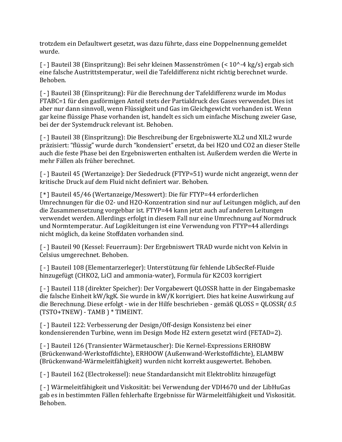trotzdem ein Defaultwert gesetzt, was dazu führte, dass eine Doppelnennung gemeldet wurde.

[-] Bauteil 38 (Einspritzung): Bei sehr kleinen Massenströmen (< 10^-4 kg/s) ergab sich eine falsche Austrittstemperatur, weil die Tafeldifferenz nicht richtig berechnet wurde. Behoben.

[-] Bauteil 38 (Einspritzung): Für die Berechnung der Tafeldifferenz wurde im Modus FTABC=1 für den gasförmigen Anteil stets der Partialdruck des Gases verwendet. Dies ist aber nur dann sinnvoll, wenn Flüssigkeit und Gas im Gleichgewicht vorhanden ist. Wenn gar keine flüssige Phase vorhanden ist, handelt es sich um einfache Mischung zweier Gase, bei der der Systemdruck relevant ist. Behoben.

[-] Bauteil 38 (Einspritzung): Die Beschreibung der Ergebniswerte XL2 und XIL2 wurde präzisiert: "flüssig" wurde durch "kondensiert" ersetzt, da bei H2O und CO2 an dieser Stelle auch die feste Phase bei den Ergebniswerten enthalten ist. Außerdem werden die Werte in mehr Fällen als früher berechnet.

[-] Bauteil 45 (Wertanzeige): Der Siededruck (FTYP=51) wurde nicht angezeigt, wenn der kritische Druck auf dem Fluid nicht definiert war. Behoben.

[\*] Bauteil 45/46 (Wertanzeige/Messwert): Die für FTYP=44 erforderlichen Umrechnungen für die O2- und H2O-Konzentration sind nur auf Leitungen möglich, auf den die Zusammensetzung vorgebbar ist. FTYP=44 kann jetzt auch auf anderen Leitungen verwendet werden. Allerdings erfolgt in diesem Fall nur eine Umrechnung auf Normdruck und Normtemperatur. Auf Logikleitungen ist eine Verwendung von FTYP=44 allerdings nicht möglich, da keine Stoffdaten vorhanden sind.

[-] Bauteil 90 (Kessel: Feuerraum): Der Ergebniswert TRAD wurde nicht von Kelvin in Celsius umgerechnet. Behoben.

[-] Bauteil 108 (Elementarzerleger): Unterstützung für fehlende LibSecRef-Fluide hinzugefügt (CHKO2, LiCl and ammonia-water), Formula für K2CO3 korrigiert

[-] Bauteil 118 (direkter Speicher): Der Vorgabewert QLOSSR hatte in der Eingabemaske die falsche Einheit kW/kgK. Sie wurde in kW/K korrigiert. Dies hat keine Auswirkung auf die Berechnung. Diese erfolgt - wie in der Hilfe beschrieben - gemäß QLOSS = QLOSSR*( 0.5*  (TSTO+TNEW) - TAMB ) \* TIMEINT.

[-] Bauteil 122: Verbesserung der Design/Off-design Konsistenz bei einer kondensierenden Turbine, wenn im Design Mode H2 extern gesetzt wird (FETAD=2).

[-] Bauteil 126 (Transienter Wärmetauscher): Die Kernel-Expressions ERHOBW (Brückenwand-Werkstoffdichte), ERHOOW (Außenwand-Werkstoffdichte), ELAMBW (Brückenwand-Wärmeleitfähigkeit) wurden nicht korrekt ausgewertet. Behoben.

[-] Bauteil 162 (Electrokessel): neue Standardansicht mit Elektroblitz hinzugefügt

[-] Wärmeleitfähigkeit und Viskosität: bei Verwendung der VDI4670 und der LibHuGas gab es in bestimmten Fällen fehlerhafte Ergebnisse für Wärmeleitfähigkeit und Viskosität. Behoben.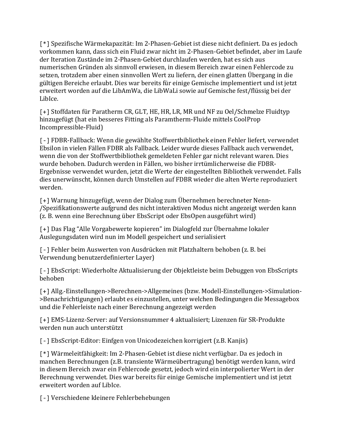[\*] Spezifische Wärmekapazität: Im 2-Phasen-Gebiet ist diese nicht definiert. Da es jedoch vorkommen kann, dass sich ein Fluid zwar nicht im 2-Phasen-Gebiet befindet, aber im Laufe der Iteration Zustände im 2-Phasen-Gebiet durchlaufen werden, hat es sich aus numerischen Gründen als sinnvoll erwiesen, in diesem Bereich zwar einen Fehlercode zu setzen, trotzdem aber einen sinnvollen Wert zu liefern, der einen glatten Übergang in die gültigen Bereiche erlaubt. Dies war bereits für einige Gemische implementiert und ist jetzt erweitert worden auf die LibAmWa, die LibWaLi sowie auf Gemische fest/flüssig bei der LibIce.

[+] Stoffdaten für Paratherm CR, GLT, HE, HR, LR, MR und NF zu Oel/Schmelze Fluidtyp hinzugefügt (hat ein besseres Fitting als Paramtherm-Fluide mittels CoolProp Incompressible-Fluid)

[-] FDBR-Fallback: Wenn die gewählte Stoffwertbibliothek einen Fehler liefert, verwendet Ebsilon in vielen Fällen FDBR als Fallback. Leider wurde dieses Fallback auch verwendet, wenn die von der Stoffwertbibliothek gemeldeten Fehler gar nicht relevant waren. Dies wurde behoben. Dadurch werden in Fällen, wo bisher irrtümlicherweise die FDBR-Ergebnisse verwendet wurden, jetzt die Werte der eingestellten Bibliothek verwendet. Falls dies unerwünscht, können durch Umstellen auf FDBR wieder die alten Werte reproduziert werden.

[+] Warnung hinzugefügt, wenn der Dialog zum Übernehmen berechneter Nenn- /Spezifikationswerte aufgrund des nicht interaktiven Modus nicht angezeigt werden kann (z. B. wenn eine Berechnung über EbsScript oder EbsOpen ausgeführt wird)

[+] Das Flag "Alle Vorgabewerte kopieren" im Dialogfeld zur Übernahme lokaler Auslegungsdaten wird nun im Modell gespeichert und serialisiert

[-] Fehler beim Auswerten von Ausdrücken mit Platzhaltern behoben (z. B. bei Verwendung benutzerdefinierter Layer)

[-] EbsScript: Wiederholte Aktualisierung der Objektleiste beim Debuggen von EbsScripts behoben

[+] Allg.-Einstellungen->Berechnen->Allgemeines (bzw. Modell-Einstellungen->Simulation- >Benachrichtigungen) erlaubt es einzustellen, unter welchen Bedingungen die Messagebox und die Fehlerleiste nach einer Berechnung angezeigt werden

[+] EMS-Lizenz-Server: auf Versionsnummer 4 aktualisiert; Lizenzen für SR-Produkte werden nun auch unterstützt

[-] EbsScript-Editor: Einfgen von Unicodezeichen korrigiert (z.B. Kanjis)

[\*] Wärmeleitfähigkeit: Im 2-Phasen-Gebiet ist diese nicht verfügbar. Da es jedoch in manchen Berechnungen (z.B. transiente Wärmeübertragung) benötigt werden kann, wird in diesem Bereich zwar ein Fehlercode gesetzt, jedoch wird ein interpolierter Wert in der Berechnung verwendet. Dies war bereits für einige Gemische implementiert und ist jetzt erweitert worden auf LibIce.

[-] Verschiedene kleinere Fehlerbehebungen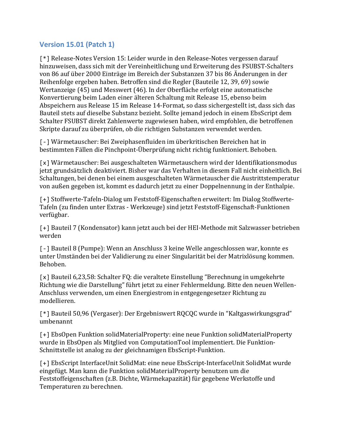#### **Version 15.01 (Patch 1)**

[\*] Release-Notes Version 15: Leider wurde in den Release-Notes vergessen darauf hinzuweisen, dass sich mit der Vereinheitlichung und Erweiterung des FSUBST-Schalters von 86 auf über 2000 Einträge im Bereich der Substanzen 37 bis 86 Änderungen in der Reihenfolge ergeben haben. Betroffen sind die Regler (Bauteile 12, 39, 69) sowie Wertanzeige (45) und Messwert (46). In der Oberfläche erfolgt eine automatische Konvertierung beim Laden einer älteren Schaltung mit Release 15, ebenso beim Abspeichern aus Release 15 im Release 14-Format, so dass sichergestellt ist, dass sich das Bauteil stets auf dieselbe Substanz bezieht. Sollte jemand jedoch in einem EbsScript dem Schalter FSUBST direkt Zahlenwerte zugewiesen haben, wird empfohlen, die betroffenen Skripte darauf zu überprüfen, ob die richtigen Substanzen verwendet werden.

[-] Wärmetauscher: Bei Zweiphasenfluiden im überkritischen Bereichen hat in bestimmten Fällen die Pinchpoint-Überprüfung nicht richtig funktioniert. Behoben.

[x] Wärmetauscher: Bei ausgeschalteten Wärmetauschern wird der Identifikationsmodus jetzt grundsätzlich deaktiviert. Bisher war das Verhalten in diesem Fall nicht einheitlich. Bei Schaltungen, bei denen bei einem ausgeschalteten Wärmetauscher die Austrittstemperatur von außen gegeben ist, kommt es dadurch jetzt zu einer Doppelnennung in der Enthalpie.

[+] Stoffwerte-Tafeln-Dialog um Feststoff-Eigenschaften erweitert: Im Dialog Stoffwerte-Tafeln (zu finden unter Extras - Werkzeuge) sind jetzt Feststoff-Eigenschaft-Funktionen verfügbar.

[+] Bauteil 7 (Kondensator) kann jetzt auch bei der HEI-Methode mit Salzwasser betrieben werden

[-] Bauteil 8 (Pumpe): Wenn an Anschluss 3 keine Welle angeschlossen war, konnte es unter Umständen bei der Validierung zu einer Singularität bei der Matrixlösung kommen. Behoben.

[x] Bauteil 6,23,58: Schalter FQ: die veraltete Einstellung "Berechnung in umgekehrte Richtung wie die Darstellung" führt jetzt zu einer Fehlermeldung. Bitte den neuen Wellen-Anschluss verwenden, um einen Energiestrom in entgegengesetzer Richtung zu modellieren.

[\*] Bauteil 50,96 (Vergaser): Der Ergebniswert RQCQC wurde in "Kaltgaswirkungsgrad" umbenannt

[+] EbsOpen Funktion solidMaterialProperty: eine neue Funktion solidMaterialProperty wurde in EbsOpen als Mitglied von ComputationTool implementiert. Die Funktion-Schnittstelle ist analog zu der gleichnamigen EbsScript-Funktion.

[+] EbsScript InterfaceUnit SolidMat: eine neue EbsScript-InterfaceUnit SolidMat wurde eingefügt. Man kann die Funktion solidMaterialProperty benutzen um die Feststoffeigenschaften (z.B. Dichte, Wärmekapazität) für gegebene Werkstoffe und Temperaturen zu berechnen.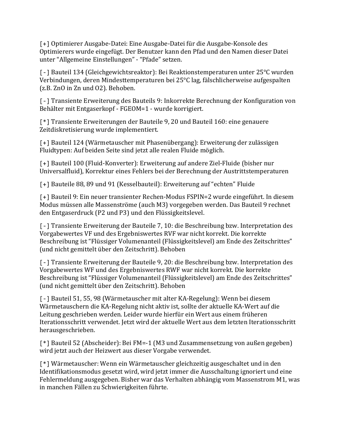[+] Optimierer Ausgabe-Datei: Eine Ausgabe-Datei für die Ausgabe-Konsole des Optimierers wurde eingefügt. Der Benutzer kann den Pfad und den Namen dieser Datei unter "Allgemeine Einstellungen" - "Pfade" setzen.

[-] Bauteil 134 (Gleichgewichtsreaktor): Bei Reaktionstemperaturen unter 25°C wurden Verbindungen, deren Mindesttemperaturen bei 25°C lag, fälschlicherweise aufgespalten (z.B. ZnO in Zn und O2). Behoben.

[-] Transiente Erweiterung des Bauteils 9: Inkorrekte Berechnung der Konfiguration von Behälter mit Entgaserkopf - FGEOM=1 - wurde korrigiert.

[\*] Transiente Erweiterungen der Bauteile 9, 20 und Bauteil 160: eine genauere Zeitdiskretisierung wurde implementiert.

[+] Bauteil 124 (Wärmetauscher mit Phasenübergang): Erweiterung der zulässigen Fluidtypen: Auf beiden Seite sind jetzt alle realen Fluide möglich.

[+] Bauteil 100 (Fluid-Konverter): Erweiterung auf andere Ziel-Fluide (bisher nur Universalfluid), Korrektur eines Fehlers bei der Berechnung der Austrittstemperaturen

[+] Bauteile 88, 89 und 91 (Kesselbauteil): Erweiterung auf "echten" Fluide

[+] Bauteil 9: Ein neuer transienter Rechen-Modus FSPIN=2 wurde eingeführt. In diesem Modus müssen alle Massenströme (auch M3) vorgegeben werden. Das Bauteil 9 rechnet den Entgaserdruck (P2 und P3) und den Flüssigkeitslevel.

[-] Transiente Erweiterung der Bauteile 7, 10: die Beschreibung bzw. Interpretation des Vorgabewertes VF und des Ergebniswertes RVF war nicht korrekt. Die korrekte Beschreibung ist "Flüssiger Volumenanteil (Flüssigkeitslevel) am Ende des Zeitschrittes" (und nicht gemittelt über den Zeitschritt). Behoben

[-] Transiente Erweiterung der Bauteile 9, 20: die Beschreibung bzw. Interpretation des Vorgabewertes WF und des Ergebniswertes RWF war nicht korrekt. Die korrekte Beschreibung ist "Flüssiger Volumenanteil (Flüssigkeitslevel) am Ende des Zeitschrittes" (und nicht gemittelt über den Zeitschritt). Behoben

[-] Bauteil 51, 55, 98 (Wärmetauscher mit alter KA-Regelung): Wenn bei diesem Wärmetauschern die KA-Regelung nicht aktiv ist, sollte der aktuelle KA-Wert auf die Leitung geschrieben werden. Leider wurde hierfür ein Wert aus einem früheren Iterationsschritt verwendet. Jetzt wird der aktuelle Wert aus dem letzten Iterationsschritt herausgeschrieben.

[\*] Bauteil 52 (Abscheider): Bei FM=-1 (M3 und Zusammensetzung von außen gegeben) wird jetzt auch der Heizwert aus dieser Vorgabe verwendet.

[\*] Wärmetauscher: Wenn ein Wärmetauscher gleichzeitig ausgeschaltet und in den Identifikationsmodus gesetzt wird, wird jetzt immer die Ausschaltung ignoriert und eine Fehlermeldung ausgegeben. Bisher war das Verhalten abhängig vom Massenstrom M1, was in manchen Fällen zu Schwierigkeiten führte.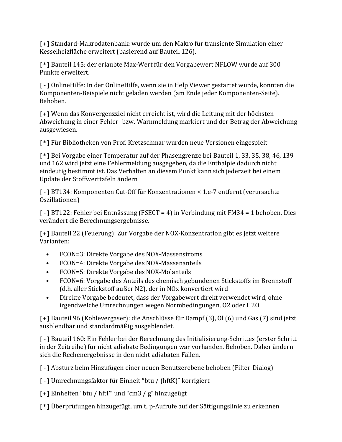[+] Standard-Makrodatenbank: wurde um den Makro für transiente Simulation einer Kesselheizfläche erweitert (basierend auf Bauteil 126).

[\*] Bauteil 145: der erlaubte Max-Wert für den Vorgabewert NFLOW wurde auf 300 Punkte erweitert.

[-] OnlineHilfe: In der OnlineHilfe, wenn sie in Help Viewer gestartet wurde, konnten die Komponenten-Beispiele nicht geladen werden (am Ende jeder Komponenten-Seite). Behoben.

[+] Wenn das Konvergenzziel nicht erreicht ist, wird die Leitung mit der höchsten Abweichung in einer Fehler- bzw. Warnmeldung markiert und der Betrag der Abweichung ausgewiesen.

[\*] Für Bibliotheken von Prof. Kretzschmar wurden neue Versionen eingespielt

[\*] Bei Vorgabe einer Temperatur auf der Phasengrenze bei Bauteil 1, 33, 35, 38, 46, 139 und 162 wird jetzt eine Fehlermeldung ausgegeben, da die Enthalpie dadurch nicht eindeutig bestimmt ist. Das Verhalten an diesem Punkt kann sich jederzeit bei einem Update der Stoffwerttafeln ändern

[-] BT134: Komponenten Cut-Off für Konzentrationen < 1.e-7 entfernt (verursachte Oszillationen)

[-] BT122: Fehler bei Entnässung (FSECT = 4) in Verbindung mit FM34 = 1 behoben. Dies verändert die Berechnungsergebnisse.

[+] Bauteil 22 (Feuerung): Zur Vorgabe der NOX-Konzentration gibt es jetzt weitere Varianten:

- FCON=3: Direkte Vorgabe des NOX-Massenstroms
- FCON=4: Direkte Vorgabe des NOX-Massenanteils
- FCON=5: Direkte Vorgabe des NOX-Molanteils
- FCON=6: Vorgabe des Anteils des chemisch gebundenen Stickstoffs im Brennstoff (d.h. aller Stickstoff außer N2), der in NOx konvertiert wird
- Direkte Vorgabe bedeutet, dass der Vorgabewert direkt verwendet wird, ohne irgendwelche Umrechnungen wegen Normbedingungen, O2 oder H2O

[+] Bauteil 96 (Kohlevergaser): die Anschlüsse für Dampf (3), Öl (6) und Gas (7) sind jetzt ausblendbar und standardmäßig ausgeblendet.

[-] Bauteil 160: Ein Fehler bei der Berechnung des Initialisierung-Schrittes (erster Schritt in der Zeitreihe) für nicht adiabate Bedingungen war vorhanden. Behoben. Daher ändern sich die Rechenergebnisse in den nicht adiabaten Fällen.

[-] Absturz beim Hinzufügen einer neuen Benutzerebene behoben (Filter-Dialog)

[-] Umrechnungsfaktor für Einheit "btu / (hftK)" korrigiert

[+] Einheiten "btu / hftF" und "cm3 / g" hinzugeügt

[\*] Überprüfungen hinzugefügt, um t, p-Aufrufe auf der Sättigungslinie zu erkennen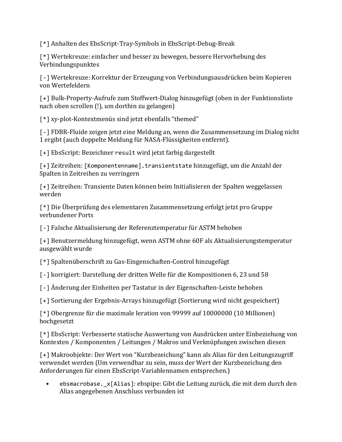[\*] Anhalten des EbsScript-Tray-Symbols in EbsScript-Debug-Break

[\*] Wertekreuze: einfacher und besser zu bewegen, bessere Hervorhebung des Verbindungspunktes

[-] Wertekreuze: Korrektur der Erzeugung von Verbindungsausdrücken beim Kopieren von Wertefeldern

[+] Bulk-Property-Aufrufe zum Stoffwert-Dialog hinzugefügt (oben in der Funktionsliste nach oben scrollen (!), um dorthin zu gelangen)

[\*] xy-plot-Kontextmenüs sind jetzt ebenfalls "themed"

[-] FDBR-Fluide zeigen jetzt eine Meldung an, wenn die Zusammensetzung im Dialog nicht 1 ergibt (auch doppelte Meldung für NASA-Flüssigkeiten entfernt).

[+] EbsScript: Bezeichner result wird jetzt farbig dargestellt

[+] Zeitreihen: [Komponentenname].transientstate hinzugefügt, um die Anzahl der Spalten in Zeitreihen zu verringern

[+] Zeitreihen: Transiente Daten können beim Initialisieren der Spalten weggelassen werden

[\*] Die Überprüfung des elementaren Zusammensetzung erfolgt jetzt pro Gruppe verbundener Ports

[-] Falsche Aktualisierung der Referenztemperatur für ASTM behoben

[+] Benutzermeldung hinzugefügt, wenn ASTM ohne 60F als Aktualisierungstemperatur ausgewählt wurde

[\*] Spaltenüberschrift zu Gas-Eingenschaften-Control hinzugefügt

[-] korrigiert: Darstellung der dritten Welle für die Kompositionen 6, 23 und 58

[-] Änderung der Einheiten per Tastatur in der Eigenschaften-Leiste behoben

[+] Sortierung der Ergebnis-Arrays hinzugefügt (Sortierung wird nicht gespeichert)

[\*] Obergrenze für die maximale Ieration von 99999 auf 10000000 (10 Millionen) hochgesetzt

[\*] EbsScript: Verbesserte statische Auswertung von Ausdrücken unter Einbeziehung von Kontexten / Komponenten / Leitungen / Makros und Verknüpfungen zwischen diesen

[+] Makroobjekte: Der Wert von "Kurzbezeichung" kann als Alias für den Leitungszugriff verwendet werden (Um verwendbar zu sein, muss der Wert der Kurzbezeichung den Anforderungen für einen EbsScript-Variablennamen entsprechen.)

• ebsmacrobase.\_x[Alias]: ebspipe: Gibt die Leitung zurück, die mit dem durch den Alias angegebenen Anschluss verbunden ist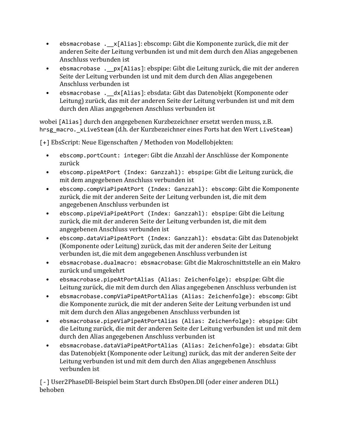- ebsmacrobase .\_\_x[Alias]: ebscomp: Gibt die Komponente zurück, die mit der anderen Seite der Leitung verbunden ist und mit dem durch den Alias angegebenen Anschluss verbunden ist
- ebsmacrobase .\_\_px[Alias]: ebspipe: Gibt die Leitung zurück, die mit der anderen Seite der Leitung verbunden ist und mit dem durch den Alias angegebenen Anschluss verbunden ist
- ebsmacrobase . dx[Alias]: ebsdata: Gibt das Datenobjekt (Komponente oder Leitung) zurück, das mit der anderen Seite der Leitung verbunden ist und mit dem durch den Alias angegebenen Anschluss verbunden ist

wobei [Alias] durch den angegebenen Kurzbezeichner ersetzt werden muss, z.B. hrsg macro. xLiveSteam (d.h. der Kurzbezeichner eines Ports hat den Wert LiveSteam)

[+] EbsScript: Neue Eigenschaften / Methoden von Modellobjekten:

- ebscomp.portCount: integer: Gibt die Anzahl der Anschlüsse der Komponente zurück
- ebscomp.pipeAtPort (Index: Ganzzahl): ebspipe: Gibt die Leitung zurück, die mit dem angegebenen Anschluss verbunden ist
- ebscomp.compViaPipeAtPort (Index: Ganzzahl): ebscomp: Gibt die Komponente zurück, die mit der anderen Seite der Leitung verbunden ist, die mit dem angegebenen Anschluss verbunden ist
- ebscomp.pipeViaPipeAtPort (Index: Ganzzahl): ebspipe: Gibt die Leitung zurück, die mit der anderen Seite der Leitung verbunden ist, die mit dem angegebenen Anschluss verbunden ist
- ebscomp.dataViaPipeAtPort (Index: Ganzzahl): ebsdata: Gibt das Datenobjekt (Komponente oder Leitung) zurück, das mit der anderen Seite der Leitung verbunden ist, die mit dem angegebenen Anschluss verbunden ist
- ebsmacrobase.dualmacro: ebsmacrobase: Gibt die Makroschnittstelle an ein Makro zurück und umgekehrt
- ebsmacrobase.pipeAtPortAlias (Alias: Zeichenfolge): ebspipe: Gibt die Leitung zurück, die mit dem durch den Alias angegebenen Anschluss verbunden ist
- ebsmacrobase.compViaPipeAtPortAlias (Alias: Zeichenfolge): ebscomp: Gibt die Komponente zurück, die mit der anderen Seite der Leitung verbunden ist und mit dem durch den Alias angegebenen Anschluss verbunden ist
- ebsmacrobase.pipeViaPipeAtPortAlias (Alias: Zeichenfolge): ebspipe: Gibt die Leitung zurück, die mit der anderen Seite der Leitung verbunden ist und mit dem durch den Alias angegebenen Anschluss verbunden ist
- ebsmacrobase.dataViaPipeAtPortAlias (Alias: Zeichenfolge): ebsdata: Gibt das Datenobjekt (Komponente oder Leitung) zurück, das mit der anderen Seite der Leitung verbunden ist und mit dem durch den Alias angegebenen Anschluss verbunden ist

[-] User2PhaseDll-Beispiel beim Start durch EbsOpen.Dll (oder einer anderen DLL) behoben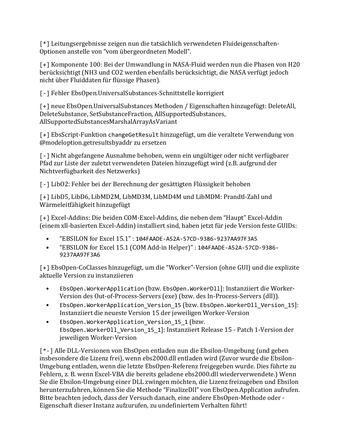[\*] Leitungsergebnisse zeigen nun die tatsächlich verwendeten Fluideigenschaften-Optionen anstelle von "vom übergeordneten Modell".

[+] Komponente 100: Bei der Umwandlung in NASA-Fluid werden nun die Phasen von H20 berücksichtigt (NH3 und CO2 werden ebenfalls berücksichtigt, die NASA verfügt jedoch nicht über Fluiddaten für flüssige Phasen).

[-] Fehler EbsOpen.UniversalSubstances-Schnittstelle korrigiert

[+] neue EbsOpen.UniversalSubstances Methoden / Eigenschaften hinzugefügt: DeleteAll, DeleteSubstance, SetSubstanceFraction, AllSupportedSubstances, AllSupportedSubstancesMarshalArrayAsVariant

[+] EbsScript-Funktion changeGetResult hinzugefügt, um die veraltete Verwendung von @modeloption.getresultsbyaddr zu ersetzen

[-] Nicht abgefangene Ausnahme behoben, wenn ein ungültiger oder nicht verfügbarer Pfad zur Liste der zuletzt verwendeten Dateien hinzugefügt wird (z.B. aufgrund der Nichtverfügbarkeit des Netzwerks)

[-] LibO2: Fehler bei der Berechnung der gesättigten Flüssigkeit behoben

[+] LibD5, LibD6, LibMD2M, LibMD3M, LibMD4M und LibMDM: Prandtl-Zahl und Wärmeleitfähigkeit hinzugefügt

[+] Excel-Addins: Die beiden COM-Excel-Addins, die neben dem "Haupt" Excel-Addin (einem xll-basierten Excel-Addin) installiert sind, haben jetzt für jede Version feste GUIDs:

- "EBSILON for Excel 15.1" : 104FAADE-A52A-57CD-9386-9237AA97F3A5
- "EBSILON for Excel 15.1 (COM Add-in Helper)" : 104FAADE-A52A-57CD-9386- 9237AA97F3A6

[+] EbsOpen-CoClasses hinzugefügt, um die "Worker"-Version (ohne GUI) und die explizite aktuelle Version zu instanziieren

- EbsOpen.WorkerApplication (bzw. EbsOpen.WorkerDll]: Instanziiert die Worker-Version des Out-of-Process-Servers (exe) (bzw. des In-Process-Servers (dll)).
- EbsOpen.WorkerApplication\_Version\_15 (bzw. EbsOpen.WorkerDll\_Version\_15]: Instanziiert die neueste Version 15 der jeweiligen Worker-Version
- EbsOpen.WorkerApplication\_Version\_15\_1 (bzw. EbsOpen.WorkerDll\_Version\_15\_1]: Instanziiert Release 15 - Patch 1-Version der jeweiligen Worker-Version

[\*-] Alle DLL-Versionen von EbsOpen entladen nun die Ebsilon-Umgebung (und geben insbesondere die Lizenz frei), wenn ebs2000.dll entladen wird (Zuvor wurde die Ebsilon-Umgebung entladen, wenn die letzte EbsOpen-Referenz freigegeben wurde. Dies führte zu Fehlern, z. B. wenn Excel-VBA die bereits geladene ebs2000.dll wiederverwendete.) Wenn Sie die Ebsilon-Umgebung einer DLL zwingen möchten, die Lizenz freizugeben und Ebsilon herunterzufahren, können Sie die Methode "FinalizeDll" von EbsOpen.Application aufrufen. Bitte beachten jedoch, dass der Versuch danach, eine andere EbsOpen-Methode oder - Eigenschaft dieser Instanz aufzurufen, zu undefiniertem Verhalten führt!